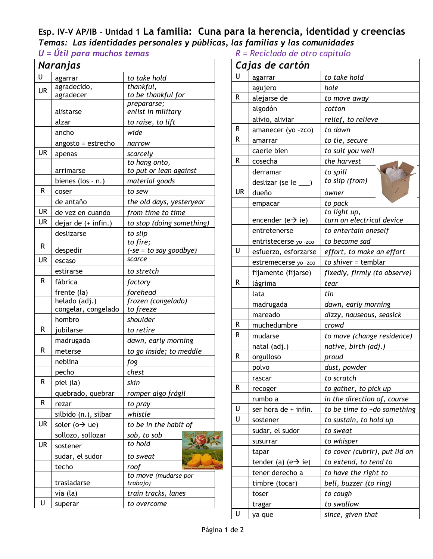## **Esp. IV-V AP/IB - Unidad 1 La familia: Cuna para la herencia, identidad y creencias** *Temas: Las identidades personales y públicas, las familias y las comunidades*

*U* = Útil para muchos temas *R* 

|           | Naranjas                     |                                   |  |
|-----------|------------------------------|-----------------------------------|--|
| U         | agarrar                      | to take hold                      |  |
| <b>UR</b> | agradecido,                  | thankful,                         |  |
|           | agradecer                    | to be thankful for                |  |
|           | alistarse                    | prepararse;<br>enlist in military |  |
|           | alzar                        | to raise, to lift                 |  |
|           | ancho                        | wide                              |  |
|           | angosto = estrecho           | narrow                            |  |
| UR        | apenas                       | scarcely                          |  |
|           |                              | to hang onto,                     |  |
|           | arrimarse                    | to put or lean against            |  |
|           | bienes (los - n.)            | material goods                    |  |
| R         | coser                        | to sew                            |  |
|           | de antaño                    | the old days, yesteryear          |  |
| UR        | de vez en cuando             | from time to time                 |  |
| UR        | dejar de (+ infin.)          | to stop (doing something)         |  |
|           | deslizarse                   | to slip                           |  |
| R         |                              | to fire;                          |  |
|           | despedir                     | $(-se = to say goodbye)$          |  |
| UR        | escaso                       | scarce                            |  |
|           | estirarse                    | to stretch                        |  |
| R         | fábrica                      | factory                           |  |
|           | frente (la)                  | forehead                          |  |
|           | helado (adj.)                | frozen (congelado)                |  |
|           | congelar, congelado          | to freeze                         |  |
| R         | hombro                       | shoulder                          |  |
|           | jubilarse                    | to retire                         |  |
|           | madrugada                    | dawn, early morning               |  |
| R         | meterse                      | to go inside; to meddle           |  |
|           | neblina                      | fog                               |  |
|           | pecho                        | chest                             |  |
| R         | piel (la)                    | skin                              |  |
|           | quebrado, quebrar            | romper algo frágil                |  |
| R         | rezar                        | to pray                           |  |
|           | silbido (n.), silbar         | whistle                           |  |
| UR        | soler ( $o \rightarrow ue$ ) | to be in the habit of             |  |
|           | sollozo, sollozar            | sob, to sob                       |  |
| UR        | sostener                     | to hold                           |  |
|           | sudar, el sudor              | to sweat                          |  |
|           | techo                        | roof                              |  |
|           | trasladarse                  | to move (mudarse por<br>trabajo)  |  |
|           | vía (la)                     | train tracks, lanes               |  |
| U         | superar                      | to overcome                       |  |
|           |                              |                                   |  |

|  |  |  | $R = Reciclado de otro capitulo$ |  |
|--|--|--|----------------------------------|--|

|           | Cajas de cartón                 |                               |  |  |
|-----------|---------------------------------|-------------------------------|--|--|
| U         | agarrar                         | to take hold                  |  |  |
|           | agujero                         | hole                          |  |  |
| R         | alejarse de                     | to move away                  |  |  |
|           | algodón                         | cotton                        |  |  |
|           | alivio, aliviar                 | relief, to relieve            |  |  |
| R         | amanecer (yo -zco)              | to dawn                       |  |  |
| R         | amarrar                         | to tie, secure                |  |  |
|           | caerle bien                     | to suit you well              |  |  |
| R         | cosecha                         | the harvest                   |  |  |
|           | derramar                        | to spill                      |  |  |
|           | deslizar (se le                 | to slip (from)                |  |  |
| <b>UR</b> | dueño                           | owner                         |  |  |
|           | empacar                         | to pack                       |  |  |
|           |                                 | to light up,                  |  |  |
|           | encender (e $\rightarrow$ ie)   | turn on electrical device     |  |  |
|           | entretenerse                    | to entertain oneself          |  |  |
| U         | entristecerse yo -zco           | to become sad                 |  |  |
|           | esfuerzo, esforzarse            | effort, to make an effort     |  |  |
|           | estremecerse yo -zco            | to shiver = temblar           |  |  |
|           | fijamente (fijarse)             | fixedly, firmly (to observe)  |  |  |
| R         | lágrima                         | tear                          |  |  |
|           | lata                            | tin                           |  |  |
|           | madrugada                       | dawn, early morning           |  |  |
|           | mareado                         | dizzy, nauseous, seasick      |  |  |
| R         | muchedumbre                     | crowd                         |  |  |
| R         | mudarse                         | to move (change residence)    |  |  |
|           | natal (adj.)                    | native, birth (adj.)          |  |  |
| R         | orgulloso                       | proud                         |  |  |
|           | polvo                           | dust, powder                  |  |  |
|           | rascar                          | to scratch                    |  |  |
| R         | recoger                         | to gather, to pick up         |  |  |
|           | rumbo a                         | in the direction of, course   |  |  |
| U         | ser hora de + infin.            | to be time to +do something   |  |  |
| U         | sostener                        | to sustain, to hold up        |  |  |
|           | sudar, el sudor                 | to sweat                      |  |  |
|           | susurrar                        | to whisper                    |  |  |
|           | tapar                           | to cover (cubrir), put lid on |  |  |
|           | tender (a) (e $\rightarrow$ ie) | to extend, to tend to         |  |  |
|           | tener derecho a                 | to have the right to          |  |  |
|           | timbre (tocar)                  | bell, buzzer (to ring)        |  |  |
|           | toser                           | to cough                      |  |  |
|           | <b>tragar</b>                   | to swallow                    |  |  |
| U         | ya que                          | since, given that             |  |  |